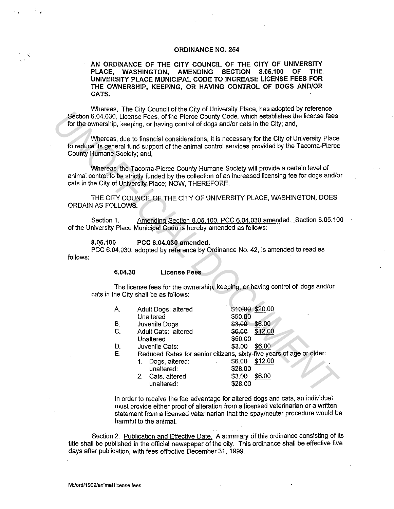## **ORDINANCE NO. 254**

**AN ORDINANCE OF THE CITY COUNCIL OF THE CITY OF UNIVERSITY PLACE, WASHINGTON, AMENDING SECTION 8.05.100 OF THE UNIVERSITY PLACE MUNICIPAL CODE TO INCREASE LICENSE FEES FOR THE OWNERSHIP, KEEPING, OR HAVING CONTROL OF DOGS AND/OR CATS.** 

Whereas, The City Council of the City of University Place, has adopted by reference Section 6.04.030, License Fees, of the Pierce County Code, which establishes the license fees for the ownership, keeping, or having control of dogs and/or cats in the City; and,

## **8.05.100 PCC 6.04.030 amended.**

'

|                                                                                                                                                                                                                              |                                                                                                                        | for the ownership, keeping, or having control of dogs and/or cats in the City; and, |                                                                                                                 | microsof The Oily Outfloir of the Oily Of Only crossed in Rue, has adopted by releasing<br>Section 6.04.030, License Fees, of the Pierce County Code, which establishes the license fees |  |
|------------------------------------------------------------------------------------------------------------------------------------------------------------------------------------------------------------------------------|------------------------------------------------------------------------------------------------------------------------|-------------------------------------------------------------------------------------|-----------------------------------------------------------------------------------------------------------------|------------------------------------------------------------------------------------------------------------------------------------------------------------------------------------------|--|
| Whereas, due to financial considerations, it is necessary for the City of University Place<br>to reduce its general fund support of the animal control services provided by the Tacoma-Pierce<br>County Humane Society; and, |                                                                                                                        |                                                                                     |                                                                                                                 |                                                                                                                                                                                          |  |
|                                                                                                                                                                                                                              |                                                                                                                        | cats in the City of University Place; NOW, THEREFORE,                               |                                                                                                                 | Whereas, the Tacoma-Pierce County Humane Society will provide a certain level of<br>animal control to be strictly funded by the collection of an increased licensing fee for dogs and/o  |  |
| <b>ORDAIN AS FOLLOWS:</b>                                                                                                                                                                                                    |                                                                                                                        |                                                                                     |                                                                                                                 | THE CITY COUNCIL OF THE CITY OF UNIVERSITY PLACE, WASHINGTON, DOES                                                                                                                       |  |
| Amending Section 8.05.100, PCC 6.04.030 amended. Section 8.05.10<br>Section 1.<br>of the University Place Municipal Code is hereby amended as follows:                                                                       |                                                                                                                        |                                                                                     |                                                                                                                 |                                                                                                                                                                                          |  |
| 8.05.100<br>PCC 6.04.030 amended.<br>PCC 6.04.030, adopted by reference by Ordinance No. 42, is amended to read as<br>follows:                                                                                               |                                                                                                                        |                                                                                     |                                                                                                                 |                                                                                                                                                                                          |  |
|                                                                                                                                                                                                                              | 6.04.30                                                                                                                | <b>License Fees</b>                                                                 |                                                                                                                 |                                                                                                                                                                                          |  |
|                                                                                                                                                                                                                              | The license fees for the ownership, keeping, or having control of dogs and/or<br>cats in the City shall be as follows: |                                                                                     |                                                                                                                 |                                                                                                                                                                                          |  |
|                                                                                                                                                                                                                              | А.                                                                                                                     | Adult Dogs; altered<br>Unaltered                                                    | \$50.00                                                                                                         | \$10.00 \$20.00                                                                                                                                                                          |  |
|                                                                                                                                                                                                                              | В.                                                                                                                     | Juvenile Dogs                                                                       | \$3.00 \$6.00                                                                                                   |                                                                                                                                                                                          |  |
|                                                                                                                                                                                                                              | $C_{1}$                                                                                                                | Adult Cats: altered<br>Unaltered                                                    | \$6.00<br>\$50.00                                                                                               | \$12.00                                                                                                                                                                                  |  |
|                                                                                                                                                                                                                              | ⊹ D.                                                                                                                   | Juvenile Cats:                                                                      | \$3.00                                                                                                          | \$6.00                                                                                                                                                                                   |  |
|                                                                                                                                                                                                                              | E.                                                                                                                     | 1. Dogs altered:<br>unaltered:<br>2. Cats, altered<br>unaltered:                    | \$28.00<br>\$3.00<br>\$28.00                                                                                    | Reduced Rates for senior citizens, sixty-five years of age or older:<br>\$6.00 \$12.00<br>\$6,00                                                                                         |  |
|                                                                                                                                                                                                                              |                                                                                                                        |                                                                                     | the contract of the contract of the contract of the contract of the contract of the contract of the contract of |                                                                                                                                                                                          |  |

In order to receive the fee advantage for altered dogs and cats, an individual must provide either proof of alteration from a licensed veterinarian or a written statement from a licensed veterinarian that the spay/neuter procedure would be harmful to the animal.

Section 2. Publication and Effective Date. A summary of this ordinance consisting of its title shall be published in the official newspaper of the city. This ordinance shall be effective five days after publication, with fees effective December 31, 1999.